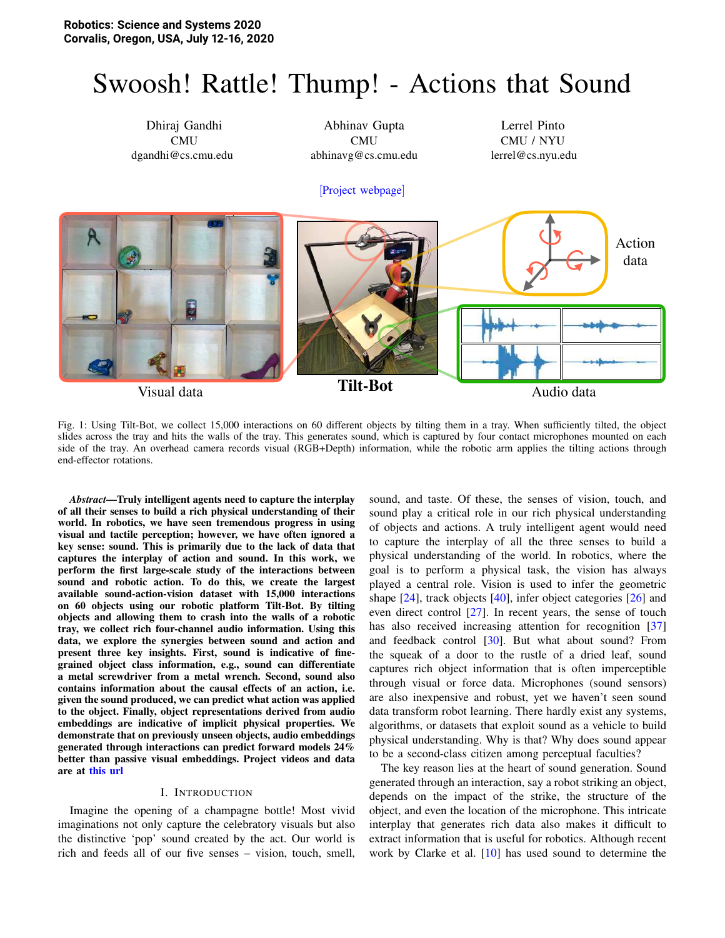# Swoosh! Rattle! Thump! - Actions that Sound



<span id="page-0-0"></span>Fig. 1: Using Tilt-Bot, we collect 15,000 interactions on 60 different objects by tilting them in a tray. When sufficiently tilted, the object slides across the tray and hits the walls of the tray. This generates sound, which is captured by four contact microphones mounted on each side of the tray. An overhead camera records visual (RGB+Depth) information, while the robotic arm applies the tilting actions through end-effector rotations.

*Abstract*—Truly intelligent agents need to capture the interplay of all their senses to build a rich physical understanding of their world. In robotics, we have seen tremendous progress in using visual and tactile perception; however, we have often ignored a key sense: sound. This is primarily due to the lack of data that captures the interplay of action and sound. In this work, we perform the first large-scale study of the interactions between sound and robotic action. To do this, we create the largest available sound-action-vision dataset with 15,000 interactions on 60 objects using our robotic platform Tilt-Bot. By tilting objects and allowing them to crash into the walls of a robotic tray, we collect rich four-channel audio information. Using this data, we explore the synergies between sound and action and present three key insights. First, sound is indicative of finegrained object class information, e.g., sound can differentiate a metal screwdriver from a metal wrench. Second, sound also contains information about the causal effects of an action, i.e. given the sound produced, we can predict what action was applied to the object. Finally, object representations derived from audio embeddings are indicative of implicit physical properties. We demonstrate that on previously unseen objects, audio embeddings generated through interactions can predict forward models 24% better than passive visual embeddings. Project videos and data are at [this url](https://dhiraj100892.github.io/sound_with_action/)

#### I. INTRODUCTION

Imagine the opening of a champagne bottle! Most vivid imaginations not only capture the celebratory visuals but also the distinctive 'pop' sound created by the act. Our world is rich and feeds all of our five senses – vision, touch, smell, sound, and taste. Of these, the senses of vision, touch, and sound play a critical role in our rich physical understanding of objects and actions. A truly intelligent agent would need to capture the interplay of all the three senses to build a physical understanding of the world. In robotics, where the goal is to perform a physical task, the vision has always played a central role. Vision is used to infer the geometric shape [\[24\]](#page-8-0), track objects [\[40\]](#page-9-0), infer object categories [\[26\]](#page-8-1) and even direct control [\[27\]](#page-8-2). In recent years, the sense of touch has also received increasing attention for recognition [\[37\]](#page-9-1) and feedback control [\[30\]](#page-9-2). But what about sound? From the squeak of a door to the rustle of a dried leaf, sound captures rich object information that is often imperceptible through visual or force data. Microphones (sound sensors) are also inexpensive and robust, yet we haven't seen sound data transform robot learning. There hardly exist any systems, algorithms, or datasets that exploit sound as a vehicle to build physical understanding. Why is that? Why does sound appear to be a second-class citizen among perceptual faculties?

The key reason lies at the heart of sound generation. Sound generated through an interaction, say a robot striking an object, depends on the impact of the strike, the structure of the object, and even the location of the microphone. This intricate interplay that generates rich data also makes it difficult to extract information that is useful for robotics. Although recent work by Clarke et al. [\[10\]](#page-8-3) has used sound to determine the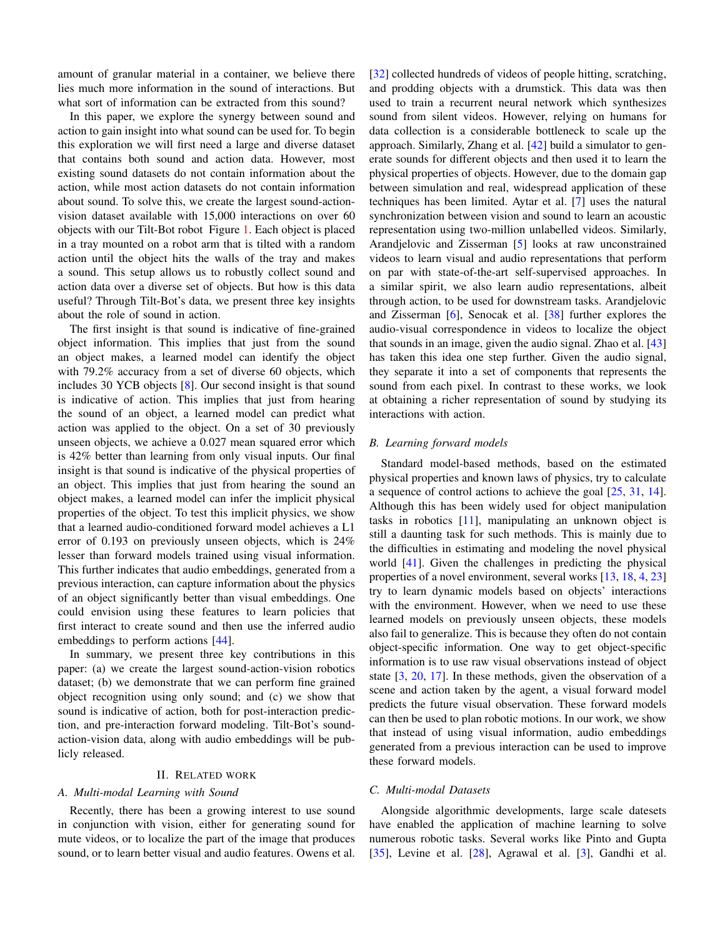amount of granular material in a container, we believe there lies much more information in the sound of interactions. But what sort of information can be extracted from this sound?

In this paper, we explore the synergy between sound and action to gain insight into what sound can be used for. To begin this exploration we will first need a large and diverse dataset that contains both sound and action data. However, most existing sound datasets do not contain information about the action, while most action datasets do not contain information about sound. To solve this, we create the largest sound-actionvision dataset available with 15,000 interactions on over 60 objects with our Tilt-Bot robot Figure [1.](#page-0-0) Each object is placed in a tray mounted on a robot arm that is tilted with a random action until the object hits the walls of the tray and makes a sound. This setup allows us to robustly collect sound and action data over a diverse set of objects. But how is this data useful? Through Tilt-Bot's data, we present three key insights about the role of sound in action.

The first insight is that sound is indicative of fine-grained object information. This implies that just from the sound an object makes, a learned model can identify the object with 79.2% accuracy from a set of diverse 60 objects, which includes 30 YCB objects [\[8\]](#page-8-4). Our second insight is that sound is indicative of action. This implies that just from hearing the sound of an object, a learned model can predict what action was applied to the object. On a set of 30 previously unseen objects, we achieve a 0.027 mean squared error which is 42% better than learning from only visual inputs. Our final insight is that sound is indicative of the physical properties of an object. This implies that just from hearing the sound an object makes, a learned model can infer the implicit physical properties of the object. To test this implicit physics, we show that a learned audio-conditioned forward model achieves a L1 error of 0.193 on previously unseen objects, which is 24% lesser than forward models trained using visual information. This further indicates that audio embeddings, generated from a previous interaction, can capture information about the physics of an object significantly better than visual embeddings. One could envision using these features to learn policies that first interact to create sound and then use the inferred audio embeddings to perform actions [\[44\]](#page-9-3).

In summary, we present three key contributions in this paper: (a) we create the largest sound-action-vision robotics dataset; (b) we demonstrate that we can perform fine grained object recognition using only sound; and (c) we show that sound is indicative of action, both for post-interaction prediction, and pre-interaction forward modeling. Tilt-Bot's soundaction-vision data, along with audio embeddings will be publicly released.

#### II. RELATED WORK

#### *A. Multi-modal Learning with Sound*

Recently, there has been a growing interest to use sound in conjunction with vision, either for generating sound for mute videos, or to localize the part of the image that produces sound, or to learn better visual and audio features. Owens et al. [\[32\]](#page-9-4) collected hundreds of videos of people hitting, scratching, and prodding objects with a drumstick. This data was then used to train a recurrent neural network which synthesizes sound from silent videos. However, relying on humans for data collection is a considerable bottleneck to scale up the approach. Similarly, Zhang et al. [\[42\]](#page-9-5) build a simulator to generate sounds for different objects and then used it to learn the physical properties of objects. However, due to the domain gap between simulation and real, widespread application of these techniques has been limited. Aytar et al. [\[7\]](#page-8-5) uses the natural synchronization between vision and sound to learn an acoustic representation using two-million unlabelled videos. Similarly, Arandjelovic and Zisserman [\[5\]](#page-8-6) looks at raw unconstrained videos to learn visual and audio representations that perform on par with state-of-the-art self-supervised approaches. In a similar spirit, we also learn audio representations, albeit through action, to be used for downstream tasks. Arandjelovic and Zisserman [\[6\]](#page-8-7), Senocak et al. [\[38\]](#page-9-6) further explores the audio-visual correspondence in videos to localize the object that sounds in an image, given the audio signal. Zhao et al. [\[43\]](#page-9-7) has taken this idea one step further. Given the audio signal, they separate it into a set of components that represents the sound from each pixel. In contrast to these works, we look at obtaining a richer representation of sound by studying its interactions with action.

#### *B. Learning forward models*

Standard model-based methods, based on the estimated physical properties and known laws of physics, try to calculate a sequence of control actions to achieve the goal [\[25,](#page-8-8) [31,](#page-9-8) [14\]](#page-8-9). Although this has been widely used for object manipulation tasks in robotics  $[11]$ , manipulating an unknown object is still a daunting task for such methods. This is mainly due to the difficulties in estimating and modeling the novel physical world [\[41\]](#page-9-9). Given the challenges in predicting the physical properties of a novel environment, several works [\[13,](#page-8-11) [18,](#page-8-12) [4,](#page-8-13) [23\]](#page-8-14) try to learn dynamic models based on objects' interactions with the environment. However, when we need to use these learned models on previously unseen objects, these models also fail to generalize. This is because they often do not contain object-specific information. One way to get object-specific information is to use raw visual observations instead of object state [\[3,](#page-8-15) [20,](#page-8-16) [17\]](#page-8-17). In these methods, given the observation of a scene and action taken by the agent, a visual forward model predicts the future visual observation. These forward models can then be used to plan robotic motions. In our work, we show that instead of using visual information, audio embeddings generated from a previous interaction can be used to improve these forward models.

#### *C. Multi-modal Datasets*

Alongside algorithmic developments, large scale datesets have enabled the application of machine learning to solve numerous robotic tasks. Several works like Pinto and Gupta [\[35\]](#page-9-10), Levine et al. [\[28\]](#page-8-18), Agrawal et al. [\[3\]](#page-8-15), Gandhi et al.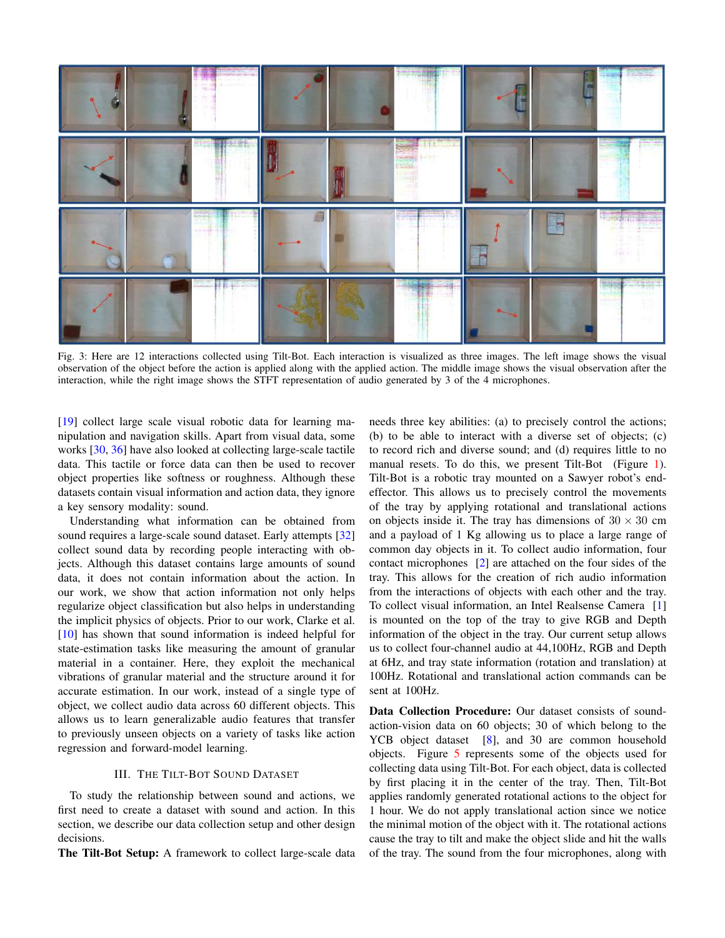<span id="page-2-0"></span>

Fig. 3: Here are 12 interactions collected using Tilt-Bot. Each interaction is visualized as three images. The left image shows the visual observation of the object before the action is applied along with the applied action. The middle image shows the visual observation after the interaction, while the right image shows the STFT representation of audio generated by 3 of the 4 microphones.

[\[19\]](#page-8-19) collect large scale visual robotic data for learning manipulation and navigation skills. Apart from visual data, some works [\[30,](#page-9-2) [36\]](#page-9-11) have also looked at collecting large-scale tactile data. This tactile or force data can then be used to recover object properties like softness or roughness. Although these datasets contain visual information and action data, they ignore a key sensory modality: sound.

Understanding what information can be obtained from sound requires a large-scale sound dataset. Early attempts [\[32\]](#page-9-4) collect sound data by recording people interacting with objects. Although this dataset contains large amounts of sound data, it does not contain information about the action. In our work, we show that action information not only helps regularize object classification but also helps in understanding the implicit physics of objects. Prior to our work, Clarke et al. [\[10\]](#page-8-3) has shown that sound information is indeed helpful for state-estimation tasks like measuring the amount of granular material in a container. Here, they exploit the mechanical vibrations of granular material and the structure around it for accurate estimation. In our work, instead of a single type of object, we collect audio data across 60 different objects. This allows us to learn generalizable audio features that transfer to previously unseen objects on a variety of tasks like action regression and forward-model learning.

#### III. THE TILT-BOT SOUND DATASET

To study the relationship between sound and actions, we first need to create a dataset with sound and action. In this section, we describe our data collection setup and other design decisions.

The Tilt-Bot Setup: A framework to collect large-scale data

needs three key abilities: (a) to precisely control the actions; (b) to be able to interact with a diverse set of objects; (c) to record rich and diverse sound; and (d) requires little to no manual resets. To do this, we present Tilt-Bot (Figure [1\)](#page-0-0). Tilt-Bot is a robotic tray mounted on a Sawyer robot's endeffector. This allows us to precisely control the movements of the tray by applying rotational and translational actions on objects inside it. The tray has dimensions of  $30 \times 30$  cm and a payload of 1 Kg allowing us to place a large range of common day objects in it. To collect audio information, four contact microphones [\[2\]](#page-8-20) are attached on the four sides of the tray. This allows for the creation of rich audio information from the interactions of objects with each other and the tray. To collect visual information, an Intel Realsense Camera [\[1\]](#page-8-21) is mounted on the top of the tray to give RGB and Depth information of the object in the tray. Our current setup allows us to collect four-channel audio at 44,100Hz, RGB and Depth at 6Hz, and tray state information (rotation and translation) at 100Hz. Rotational and translational action commands can be sent at 100Hz.

Data Collection Procedure: Our dataset consists of soundaction-vision data on 60 objects; 30 of which belong to the YCB object dataset [\[8\]](#page-8-4), and 30 are common household objects. Figure [5](#page-3-0) represents some of the objects used for collecting data using Tilt-Bot. For each object, data is collected by first placing it in the center of the tray. Then, Tilt-Bot applies randomly generated rotational actions to the object for 1 hour. We do not apply translational action since we notice the minimal motion of the object with it. The rotational actions cause the tray to tilt and make the object slide and hit the walls of the tray. The sound from the four microphones, along with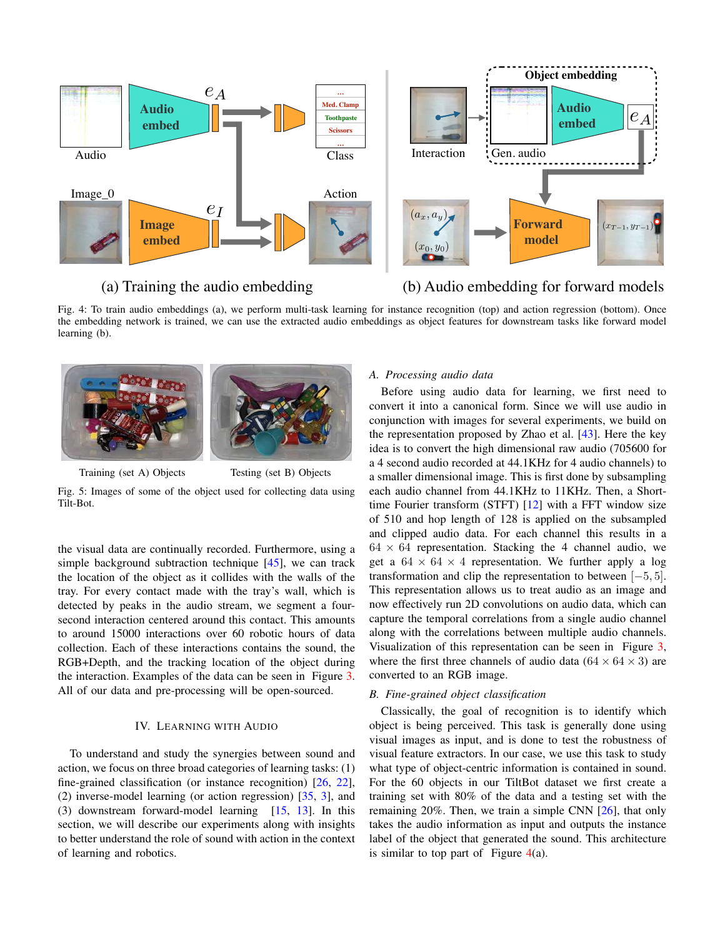<span id="page-3-1"></span>

## (a) Training the audio embedding (b) Audio embedding for forward models

Fig. 4: To train audio embeddings (a), we perform multi-task learning for instance recognition (top) and action regression (bottom). Once the embedding network is trained, we can use the extracted audio embeddings as object features for downstream tasks like forward model learning (b).

<span id="page-3-0"></span>

Training (set A) Objects Testing (set B) Objects



the visual data are continually recorded. Furthermore, using a simple background subtraction technique [\[45\]](#page-9-12), we can track the location of the object as it collides with the walls of the tray. For every contact made with the tray's wall, which is detected by peaks in the audio stream, we segment a foursecond interaction centered around this contact. This amounts to around 15000 interactions over 60 robotic hours of data collection. Each of these interactions contains the sound, the RGB+Depth, and the tracking location of the object during the interaction. Examples of the data can be seen in Figure [3.](#page-2-0) All of our data and pre-processing will be open-sourced.

#### IV. LEARNING WITH AUDIO

To understand and study the synergies between sound and action, we focus on three broad categories of learning tasks: (1) fine-grained classification (or instance recognition) [\[26,](#page-8-1) [22\]](#page-8-22), (2) inverse-model learning (or action regression) [\[35,](#page-9-10) [3\]](#page-8-15), and (3) downstream forward-model learning  $[15, 13]$  $[15, 13]$  $[15, 13]$ . In this section, we will describe our experiments along with insights to better understand the role of sound with action in the context of learning and robotics.

#### *A. Processing audio data*

Before using audio data for learning, we first need to convert it into a canonical form. Since we will use audio in conjunction with images for several experiments, we build on the representation proposed by Zhao et al. [\[43\]](#page-9-7). Here the key idea is to convert the high dimensional raw audio (705600 for a 4 second audio recorded at 44.1KHz for 4 audio channels) to a smaller dimensional image. This is first done by subsampling each audio channel from 44.1KHz to 11KHz. Then, a Shorttime Fourier transform (STFT) [\[12\]](#page-8-24) with a FFT window size of 510 and hop length of 128 is applied on the subsampled and clipped audio data. For each channel this results in a  $64 \times 64$  representation. Stacking the 4 channel audio, we get a  $64 \times 64 \times 4$  representation. We further apply a log transformation and clip the representation to between  $[-5, 5]$ . This representation allows us to treat audio as an image and now effectively run 2D convolutions on audio data, which can capture the temporal correlations from a single audio channel along with the correlations between multiple audio channels. Visualization of this representation can be seen in Figure [3,](#page-2-0) where the first three channels of audio data  $(64 \times 64 \times 3)$  are converted to an RGB image.

#### <span id="page-3-2"></span>*B. Fine-grained object classification*

Classically, the goal of recognition is to identify which object is being perceived. This task is generally done using visual images as input, and is done to test the robustness of visual feature extractors. In our case, we use this task to study what type of object-centric information is contained in sound. For the 60 objects in our TiltBot dataset we first create a training set with 80% of the data and a testing set with the remaining 20%. Then, we train a simple CNN [\[26\]](#page-8-1), that only takes the audio information as input and outputs the instance label of the object that generated the sound. This architecture is similar to top part of Figure  $4(a)$  $4(a)$ .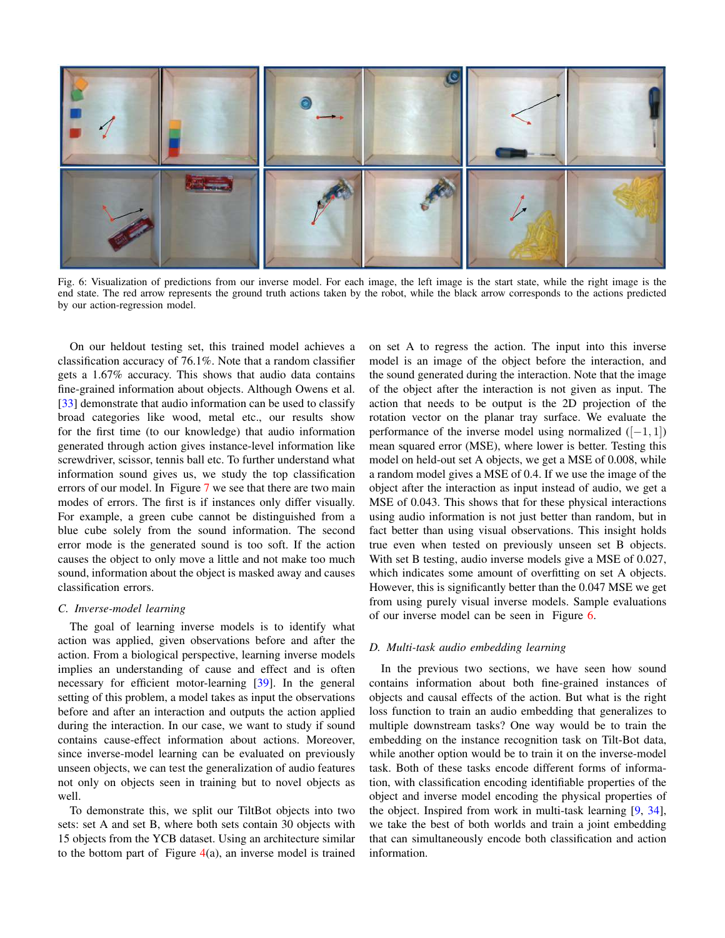<span id="page-4-0"></span>

Fig. 6: Visualization of predictions from our inverse model. For each image, the left image is the start state, while the right image is the end state. The red arrow represents the ground truth actions taken by the robot, while the black arrow corresponds to the actions predicted by our action-regression model.

On our heldout testing set, this trained model achieves a classification accuracy of 76.1%. Note that a random classifier gets a 1.67% accuracy. This shows that audio data contains fine-grained information about objects. Although Owens et al. [\[33\]](#page-9-13) demonstrate that audio information can be used to classify broad categories like wood, metal etc., our results show for the first time (to our knowledge) that audio information generated through action gives instance-level information like screwdriver, scissor, tennis ball etc. To further understand what information sound gives us, we study the top classification errors of our model. In Figure [7](#page-5-0) we see that there are two main modes of errors. The first is if instances only differ visually. For example, a green cube cannot be distinguished from a blue cube solely from the sound information. The second error mode is the generated sound is too soft. If the action causes the object to only move a little and not make too much sound, information about the object is masked away and causes classification errors.

#### *C. Inverse-model learning*

The goal of learning inverse models is to identify what action was applied, given observations before and after the action. From a biological perspective, learning inverse models implies an understanding of cause and effect and is often necessary for efficient motor-learning [\[39\]](#page-9-14). In the general setting of this problem, a model takes as input the observations before and after an interaction and outputs the action applied during the interaction. In our case, we want to study if sound contains cause-effect information about actions. Moreover, since inverse-model learning can be evaluated on previously unseen objects, we can test the generalization of audio features not only on objects seen in training but to novel objects as well.

To demonstrate this, we split our TiltBot objects into two sets: set A and set B, where both sets contain 30 objects with 15 objects from the YCB dataset. Using an architecture similar to the bottom part of Figure  $4(a)$  $4(a)$ , an inverse model is trained on set A to regress the action. The input into this inverse model is an image of the object before the interaction, and the sound generated during the interaction. Note that the image of the object after the interaction is not given as input. The action that needs to be output is the 2D projection of the rotation vector on the planar tray surface. We evaluate the performance of the inverse model using normalized  $([-1, 1])$ mean squared error (MSE), where lower is better. Testing this model on held-out set A objects, we get a MSE of 0.008, while a random model gives a MSE of 0.4. If we use the image of the object after the interaction as input instead of audio, we get a MSE of 0.043. This shows that for these physical interactions using audio information is not just better than random, but in fact better than using visual observations. This insight holds true even when tested on previously unseen set B objects. With set B testing, audio inverse models give a MSE of 0.027, which indicates some amount of overfitting on set A objects. However, this is significantly better than the 0.047 MSE we get from using purely visual inverse models. Sample evaluations of our inverse model can be seen in Figure [6.](#page-4-0)

#### *D. Multi-task audio embedding learning*

In the previous two sections, we have seen how sound contains information about both fine-grained instances of objects and causal effects of the action. But what is the right loss function to train an audio embedding that generalizes to multiple downstream tasks? One way would be to train the embedding on the instance recognition task on Tilt-Bot data, while another option would be to train it on the inverse-model task. Both of these tasks encode different forms of information, with classification encoding identifiable properties of the object and inverse model encoding the physical properties of the object. Inspired from work in multi-task learning [\[9,](#page-8-25) [34\]](#page-9-15), we take the best of both worlds and train a joint embedding that can simultaneously encode both classification and action information.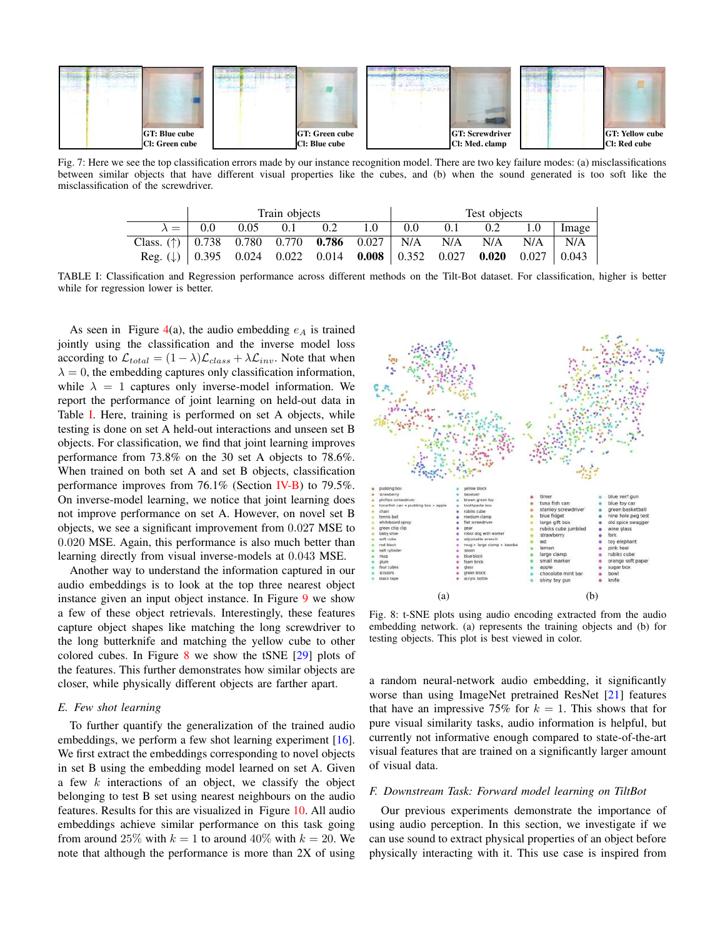<span id="page-5-0"></span>

<span id="page-5-1"></span>Fig. 7: Here we see the top classification errors made by our instance recognition model. There are two key failure modes: (a) misclassifications between similar objects that have different visual properties like the cubes, and (b) when the sound generated is too soft like the misclassification of the screwdriver.

|                                                                                                       | Train objects |                              |  |  |     | Test objects |     |     |                  |       |
|-------------------------------------------------------------------------------------------------------|---------------|------------------------------|--|--|-----|--------------|-----|-----|------------------|-------|
|                                                                                                       |               | $\lambda =$ 0.0 0.05 0.1 0.2 |  |  | 1.0 | 0.0          | 0.1 | 0.2 | 1.0 <sub>1</sub> | Image |
| Class. (†) $\begin{bmatrix} 0.738 & 0.780 & 0.770 & 0.786 & 0.027 \end{bmatrix}$ N/A N/A N/A N/A      |               |                              |  |  |     |              |     |     |                  | N/A   |
| Reg. ( $\downarrow$ )   0.395 0.024 0.022 0.014 <b>0.008</b>   0.352 0.027 <b>0.020</b> 0.027   0.043 |               |                              |  |  |     |              |     |     |                  |       |

TABLE I: Classification and Regression performance across different methods on the Tilt-Bot dataset. For classification, higher is better while for regression lower is better.

As seen in Figure [4\(](#page-3-1)a), the audio embedding  $e_A$  is trained jointly using the classification and the inverse model loss according to  $\mathcal{L}_{total} = (1 - \lambda)\mathcal{L}_{class} + \lambda\mathcal{L}_{inv}$ . Note that when  $\lambda = 0$ , the embedding captures only classification information, while  $\lambda = 1$  captures only inverse-model information. We report the performance of joint learning on held-out data in Table [I.](#page-5-1) Here, training is performed on set A objects, while testing is done on set A held-out interactions and unseen set B objects. For classification, we find that joint learning improves performance from 73.8% on the 30 set A objects to 78.6%. When trained on both set A and set B objects, classification performance improves from 76.1% (Section [IV-B\)](#page-3-2) to 79.5%. On inverse-model learning, we notice that joint learning does not improve performance on set A. However, on novel set B objects, we see a significant improvement from 0.027 MSE to 0.020 MSE. Again, this performance is also much better than learning directly from visual inverse-models at 0.043 MSE.

Another way to understand the information captured in our audio embeddings is to look at the top three nearest object instance given an input object instance. In Figure [9](#page-6-0) we show a few of these object retrievals. Interestingly, these features capture object shapes like matching the long screwdriver to the long butterknife and matching the yellow cube to other colored cubes. In Figure  $8$  we show the tSNE  $[29]$  plots of the features. This further demonstrates how similar objects are closer, while physically different objects are farther apart.

#### *E. Few shot learning*

To further quantify the generalization of the trained audio embeddings, we perform a few shot learning experiment [\[16\]](#page-8-26). We first extract the embeddings corresponding to novel objects in set B using the embedding model learned on set A. Given a few  $k$  interactions of an object, we classify the object belonging to test B set using nearest neighbours on the audio features. Results for this are visualized in Figure [10.](#page-6-1) All audio embeddings achieve similar performance on this task going from around 25% with  $k = 1$  to around 40% with  $k = 20$ . We note that although the performance is more than 2X of using

<span id="page-5-2"></span>

Fig. 8: t-SNE plots using audio encoding extracted from the audio embedding network. (a) represents the training objects and (b) for testing objects. This plot is best viewed in color.

a random neural-network audio embedding, it significantly worse than using ImageNet pretrained ResNet [\[21\]](#page-8-27) features that have an impressive 75% for  $k = 1$ . This shows that for pure visual similarity tasks, audio information is helpful, but currently not informative enough compared to state-of-the-art visual features that are trained on a significantly larger amount of visual data.

#### *F. Downstream Task: Forward model learning on TiltBot*

Our previous experiments demonstrate the importance of using audio perception. In this section, we investigate if we can use sound to extract physical properties of an object before physically interacting with it. This use case is inspired from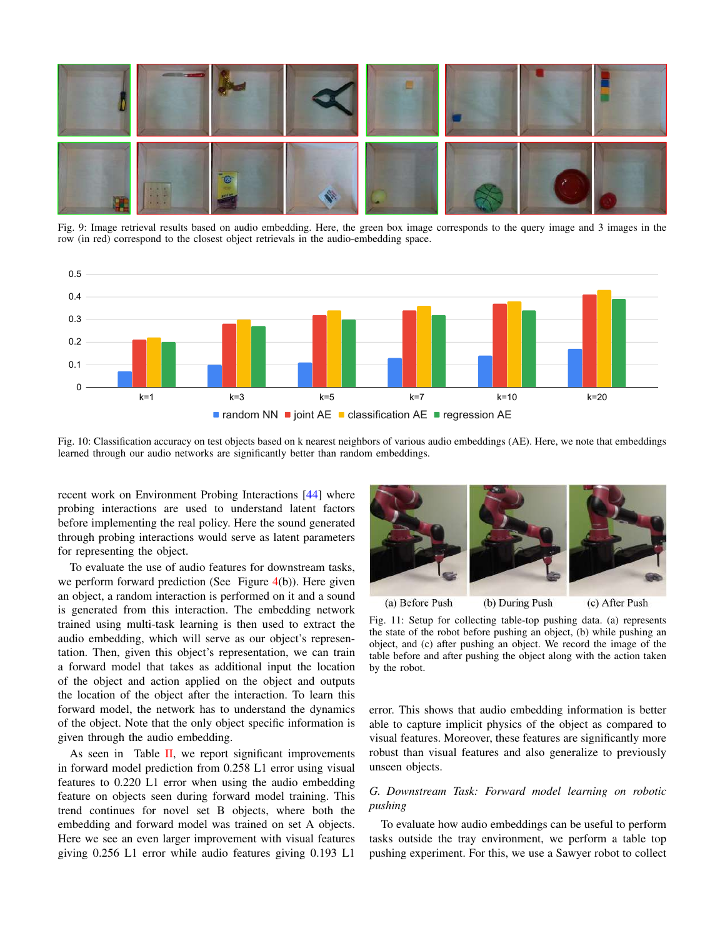<span id="page-6-0"></span>

Fig. 9: Image retrieval results based on audio embedding. Here, the green box image corresponds to the query image and 3 images in the row (in red) correspond to the closest object retrievals in the audio-embedding space.

<span id="page-6-1"></span>

Fig. 10: Classification accuracy on test objects based on k nearest neighbors of various audio embeddings (AE). Here, we note that embeddings learned through our audio networks are significantly better than random embeddings.

recent work on Environment Probing Interactions [\[44\]](#page-9-3) where probing interactions are used to understand latent factors before implementing the real policy. Here the sound generated through probing interactions would serve as latent parameters for representing the object.

To evaluate the use of audio features for downstream tasks, we perform forward prediction (See Figure [4\(](#page-3-1)b)). Here given an object, a random interaction is performed on it and a sound is generated from this interaction. The embedding network trained using multi-task learning is then used to extract the audio embedding, which will serve as our object's representation. Then, given this object's representation, we can train a forward model that takes as additional input the location of the object and action applied on the object and outputs the location of the object after the interaction. To learn this forward model, the network has to understand the dynamics of the object. Note that the only object specific information is given through the audio embedding.

As seen in Table  $II$ , we report significant improvements in forward model prediction from 0.258 L1 error using visual features to 0.220 L1 error when using the audio embedding feature on objects seen during forward model training. This trend continues for novel set B objects, where both the embedding and forward model was trained on set A objects. Here we see an even larger improvement with visual features giving 0.256 L1 error while audio features giving 0.193 L1

<span id="page-6-2"></span>

Fig. 11: Setup for collecting table-top pushing data. (a) represents

the state of the robot before pushing an object, (b) while pushing an object, and (c) after pushing an object. We record the image of the table before and after pushing the object along with the action taken by the robot.

error. This shows that audio embedding information is better able to capture implicit physics of the object as compared to visual features. Moreover, these features are significantly more robust than visual features and also generalize to previously unseen objects.

### *G. Downstream Task: Forward model learning on robotic pushing*

To evaluate how audio embeddings can be useful to perform tasks outside the tray environment, we perform a table top pushing experiment. For this, we use a Sawyer robot to collect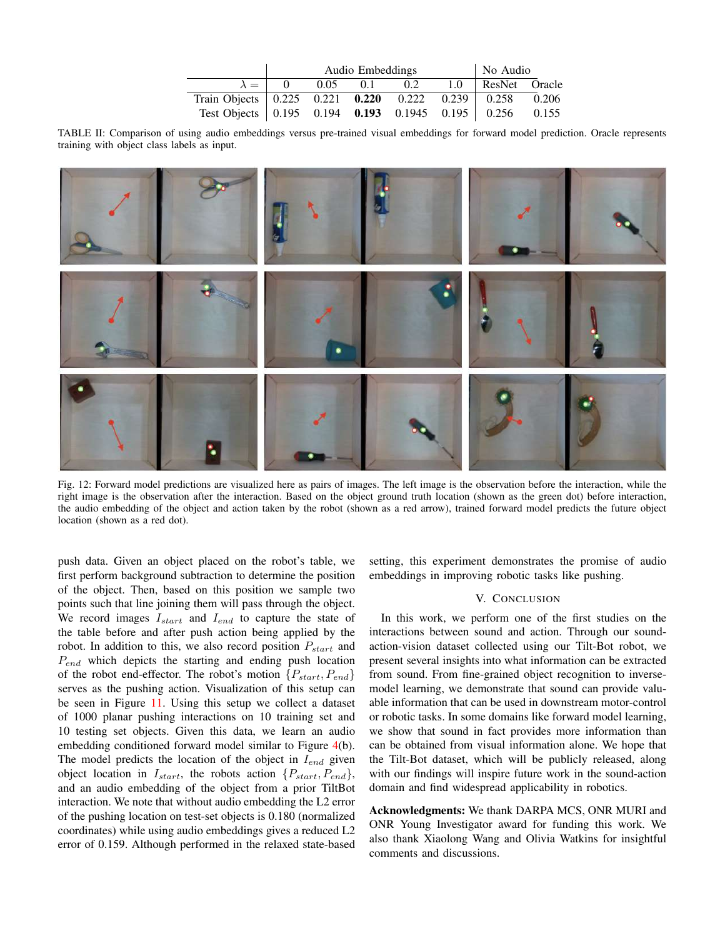|                                                                 | Audio Embeddings | No Audio   |     |  |                     |  |
|-----------------------------------------------------------------|------------------|------------|-----|--|---------------------|--|
| $\lambda = 1 \quad 0$                                           |                  | $0.05$ 0.1 | 0.2 |  | 1.0   ResNet Oracle |  |
| Train Objects   0.225  0.221  0.220  0.222  0.239  0.258  0.206 |                  |            |     |  |                     |  |
| Test Objects   0.195 0.194 0.193 0.1945 0.195   0.256 0.155     |                  |            |     |  |                     |  |

<span id="page-7-0"></span>TABLE II: Comparison of using audio embeddings versus pre-trained visual embeddings for forward model prediction. Oracle represents training with object class labels as input.



Fig. 12: Forward model predictions are visualized here as pairs of images. The left image is the observation before the interaction, while the right image is the observation after the interaction. Based on the object ground truth location (shown as the green dot) before interaction, the audio embedding of the object and action taken by the robot (shown as a red arrow), trained forward model predicts the future object location (shown as a red dot).

push data. Given an object placed on the robot's table, we first perform background subtraction to determine the position of the object. Then, based on this position we sample two points such that line joining them will pass through the object. We record images  $I_{start}$  and  $I_{end}$  to capture the state of the table before and after push action being applied by the robot. In addition to this, we also record position  $P_{start}$  and  $P_{end}$  which depicts the starting and ending push location of the robot end-effector. The robot's motion  $\{P_{start}, P_{end}\}$ serves as the pushing action. Visualization of this setup can be seen in Figure [11.](#page-6-2) Using this setup we collect a dataset of 1000 planar pushing interactions on 10 training set and 10 testing set objects. Given this data, we learn an audio embedding conditioned forward model similar to Figure [4\(](#page-3-1)b). The model predicts the location of the object in  $I_{end}$  given object location in  $I_{start}$ , the robots action  $\{P_{start}, P_{end}\}$ , and an audio embedding of the object from a prior TiltBot interaction. We note that without audio embedding the L2 error of the pushing location on test-set objects is 0.180 (normalized coordinates) while using audio embeddings gives a reduced L2 error of 0.159. Although performed in the relaxed state-based setting, this experiment demonstrates the promise of audio embeddings in improving robotic tasks like pushing.

#### V. CONCLUSION

In this work, we perform one of the first studies on the interactions between sound and action. Through our soundaction-vision dataset collected using our Tilt-Bot robot, we present several insights into what information can be extracted from sound. From fine-grained object recognition to inversemodel learning, we demonstrate that sound can provide valuable information that can be used in downstream motor-control or robotic tasks. In some domains like forward model learning, we show that sound in fact provides more information than can be obtained from visual information alone. We hope that the Tilt-Bot dataset, which will be publicly released, along with our findings will inspire future work in the sound-action domain and find widespread applicability in robotics.

Acknowledgments: We thank DARPA MCS, ONR MURI and ONR Young Investigator award for funding this work. We also thank Xiaolong Wang and Olivia Watkins for insightful comments and discussions.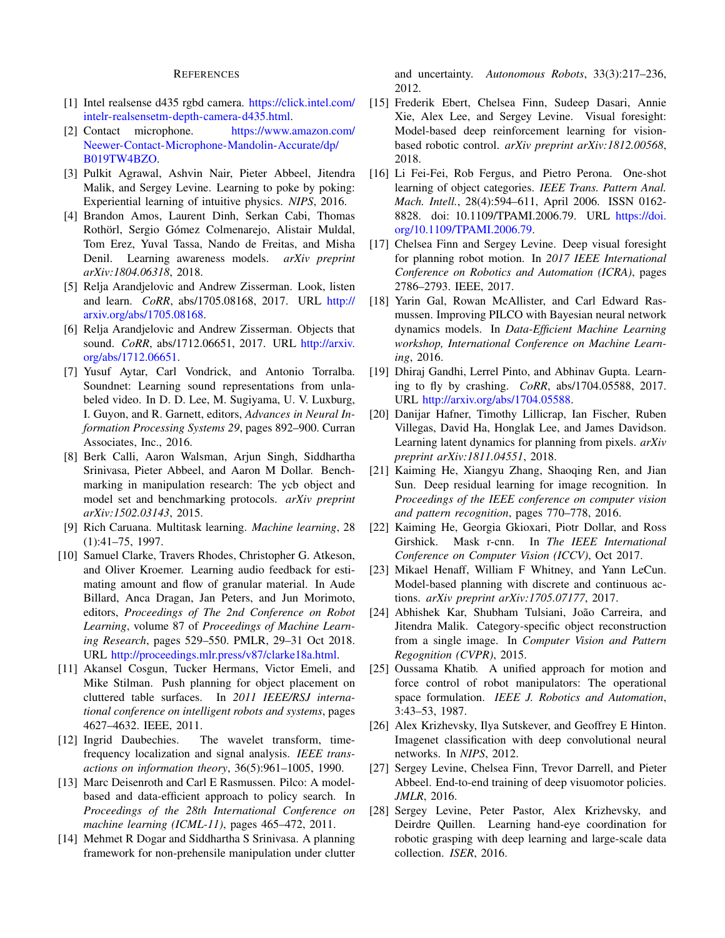#### REFERENCES

- <span id="page-8-21"></span>[1] Intel realsense d435 rgbd camera. [https://click.intel.com/](https://click.intel.com/intelr-realsensetm-depth-camera-d435.html) [intelr-realsensetm-depth-camera-d435.html.](https://click.intel.com/intelr-realsensetm-depth-camera-d435.html)
- <span id="page-8-20"></span>[2] Contact microphone. [https://www.amazon.com/](https://www.amazon.com/Neewer-Contact-Microphone-Mandolin-Accurate/dp/B019TW4BZO) [Neewer-Contact-Microphone-Mandolin-Accurate/dp/](https://www.amazon.com/Neewer-Contact-Microphone-Mandolin-Accurate/dp/B019TW4BZO) [B019TW4BZO.](https://www.amazon.com/Neewer-Contact-Microphone-Mandolin-Accurate/dp/B019TW4BZO)
- <span id="page-8-15"></span>[3] Pulkit Agrawal, Ashvin Nair, Pieter Abbeel, Jitendra Malik, and Sergey Levine. Learning to poke by poking: Experiential learning of intuitive physics. *NIPS*, 2016.
- <span id="page-8-13"></span>[4] Brandon Amos, Laurent Dinh, Serkan Cabi, Thomas Rothörl, Sergio Gómez Colmenarejo, Alistair Muldal, Tom Erez, Yuval Tassa, Nando de Freitas, and Misha Denil. Learning awareness models. *arXiv preprint arXiv:1804.06318*, 2018.
- <span id="page-8-6"></span>[5] Relja Arandjelovic and Andrew Zisserman. Look, listen and learn. *CoRR*, abs/1705.08168, 2017. URL [http://](http://arxiv.org/abs/1705.08168) [arxiv.org/abs/1705.08168.](http://arxiv.org/abs/1705.08168)
- <span id="page-8-7"></span>[6] Relja Arandjelovic and Andrew Zisserman. Objects that sound. *CoRR*, abs/1712.06651, 2017. URL [http://arxiv.](http://arxiv.org/abs/1712.06651) [org/abs/1712.06651.](http://arxiv.org/abs/1712.06651)
- <span id="page-8-5"></span>[7] Yusuf Aytar, Carl Vondrick, and Antonio Torralba. Soundnet: Learning sound representations from unlabeled video. In D. D. Lee, M. Sugiyama, U. V. Luxburg, I. Guyon, and R. Garnett, editors, *Advances in Neural Information Processing Systems 29*, pages 892–900. Curran Associates, Inc., 2016.
- <span id="page-8-4"></span>[8] Berk Calli, Aaron Walsman, Arjun Singh, Siddhartha Srinivasa, Pieter Abbeel, and Aaron M Dollar. Benchmarking in manipulation research: The ycb object and model set and benchmarking protocols. *arXiv preprint arXiv:1502.03143*, 2015.
- <span id="page-8-25"></span>[9] Rich Caruana. Multitask learning. *Machine learning*, 28 (1):41–75, 1997.
- <span id="page-8-3"></span>[10] Samuel Clarke, Travers Rhodes, Christopher G. Atkeson, and Oliver Kroemer. Learning audio feedback for estimating amount and flow of granular material. In Aude Billard, Anca Dragan, Jan Peters, and Jun Morimoto, editors, *Proceedings of The 2nd Conference on Robot Learning*, volume 87 of *Proceedings of Machine Learning Research*, pages 529–550. PMLR, 29–31 Oct 2018. URL [http://proceedings.mlr.press/v87/clarke18a.html.](http://proceedings.mlr.press/v87/clarke18a.html)
- <span id="page-8-10"></span>[11] Akansel Cosgun, Tucker Hermans, Victor Emeli, and Mike Stilman. Push planning for object placement on cluttered table surfaces. In *2011 IEEE/RSJ international conference on intelligent robots and systems*, pages 4627–4632. IEEE, 2011.
- <span id="page-8-24"></span>[12] Ingrid Daubechies. The wavelet transform, timefrequency localization and signal analysis. *IEEE transactions on information theory*, 36(5):961–1005, 1990.
- <span id="page-8-11"></span>[13] Marc Deisenroth and Carl E Rasmussen. Pilco: A modelbased and data-efficient approach to policy search. In *Proceedings of the 28th International Conference on machine learning (ICML-11)*, pages 465–472, 2011.
- <span id="page-8-9"></span>[14] Mehmet R Dogar and Siddhartha S Srinivasa. A planning framework for non-prehensile manipulation under clutter

and uncertainty. *Autonomous Robots*, 33(3):217–236, 2012.

- <span id="page-8-23"></span>[15] Frederik Ebert, Chelsea Finn, Sudeep Dasari, Annie Xie, Alex Lee, and Sergey Levine. Visual foresight: Model-based deep reinforcement learning for visionbased robotic control. *arXiv preprint arXiv:1812.00568*, 2018.
- <span id="page-8-26"></span>[16] Li Fei-Fei, Rob Fergus, and Pietro Perona. One-shot learning of object categories. *IEEE Trans. Pattern Anal. Mach. Intell.*, 28(4):594–611, April 2006. ISSN 0162- 8828. doi: 10.1109/TPAMI.2006.79. URL [https://doi.](https://doi.org/10.1109/TPAMI.2006.79) [org/10.1109/TPAMI.2006.79.](https://doi.org/10.1109/TPAMI.2006.79)
- <span id="page-8-17"></span>[17] Chelsea Finn and Sergey Levine. Deep visual foresight for planning robot motion. In *2017 IEEE International Conference on Robotics and Automation (ICRA)*, pages 2786–2793. IEEE, 2017.
- <span id="page-8-12"></span>[18] Yarin Gal, Rowan McAllister, and Carl Edward Rasmussen. Improving PILCO with Bayesian neural network dynamics models. In *Data-Efficient Machine Learning workshop, International Conference on Machine Learning*, 2016.
- <span id="page-8-19"></span>[19] Dhiraj Gandhi, Lerrel Pinto, and Abhinav Gupta. Learning to fly by crashing. *CoRR*, abs/1704.05588, 2017. URL [http://arxiv.org/abs/1704.05588.](http://arxiv.org/abs/1704.05588)
- <span id="page-8-16"></span>[20] Danijar Hafner, Timothy Lillicrap, Ian Fischer, Ruben Villegas, David Ha, Honglak Lee, and James Davidson. Learning latent dynamics for planning from pixels. *arXiv preprint arXiv:1811.04551*, 2018.
- <span id="page-8-27"></span>[21] Kaiming He, Xiangyu Zhang, Shaoqing Ren, and Jian Sun. Deep residual learning for image recognition. In *Proceedings of the IEEE conference on computer vision and pattern recognition*, pages 770–778, 2016.
- <span id="page-8-22"></span>[22] Kaiming He, Georgia Gkioxari, Piotr Dollar, and Ross Girshick. Mask r-cnn. In *The IEEE International Conference on Computer Vision (ICCV)*, Oct 2017.
- <span id="page-8-14"></span>[23] Mikael Henaff, William F Whitney, and Yann LeCun. Model-based planning with discrete and continuous actions. *arXiv preprint arXiv:1705.07177*, 2017.
- <span id="page-8-0"></span>[24] Abhishek Kar, Shubham Tulsiani, João Carreira, and Jitendra Malik. Category-specific object reconstruction from a single image. In *Computer Vision and Pattern Regognition (CVPR)*, 2015.
- <span id="page-8-8"></span>[25] Oussama Khatib. A unified approach for motion and force control of robot manipulators: The operational space formulation. *IEEE J. Robotics and Automation*, 3:43–53, 1987.
- <span id="page-8-1"></span>[26] Alex Krizhevsky, Ilya Sutskever, and Geoffrey E Hinton. Imagenet classification with deep convolutional neural networks. In *NIPS*, 2012.
- <span id="page-8-2"></span>[27] Sergey Levine, Chelsea Finn, Trevor Darrell, and Pieter Abbeel. End-to-end training of deep visuomotor policies. *JMLR*, 2016.
- <span id="page-8-18"></span>[28] Sergey Levine, Peter Pastor, Alex Krizhevsky, and Deirdre Quillen. Learning hand-eye coordination for robotic grasping with deep learning and large-scale data collection. *ISER*, 2016.